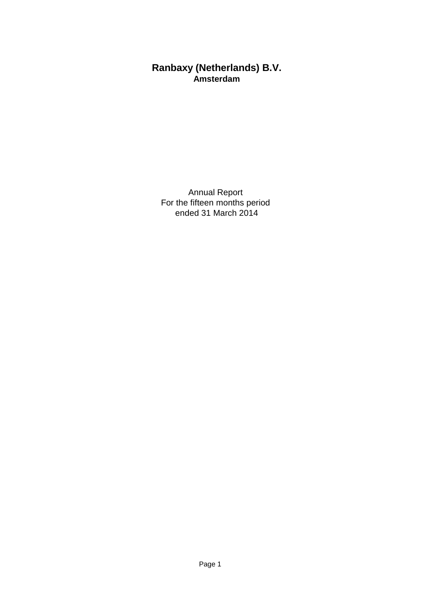# **Ranbaxy (Netherlands) B.V. Amsterdam**

Annual Report For the fifteen months period ended 31 March 2014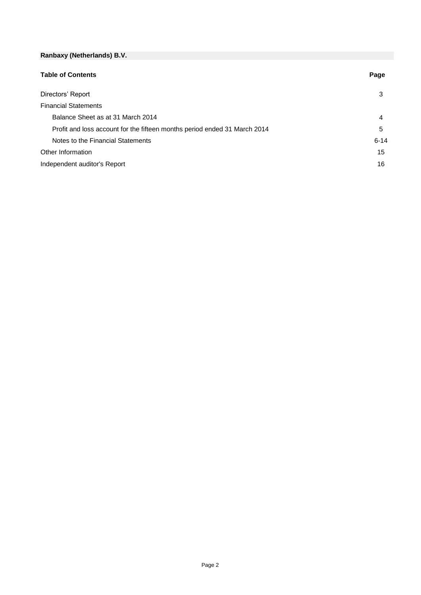| <b>Table of Contents</b>                                                  | Page     |
|---------------------------------------------------------------------------|----------|
| Directors' Report                                                         | 3        |
| <b>Financial Statements</b>                                               |          |
| Balance Sheet as at 31 March 2014                                         | 4        |
| Profit and loss account for the fifteen months period ended 31 March 2014 | 5        |
| Notes to the Financial Statements                                         | $6 - 14$ |
| Other Information                                                         | 15       |
| Independent auditor's Report                                              | 16       |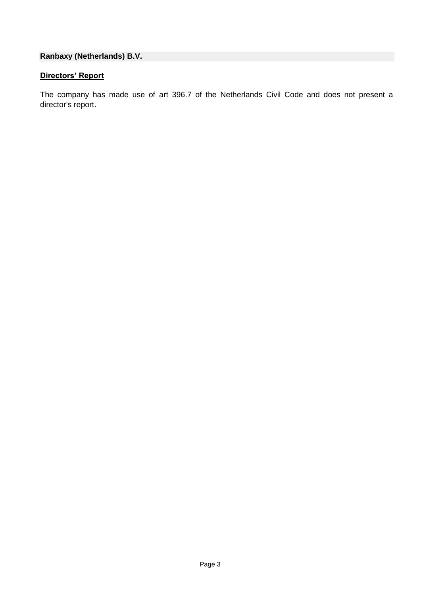# **Directors' Report**

The company has made use of art 396.7 of the Netherlands Civil Code and does not present a director's report.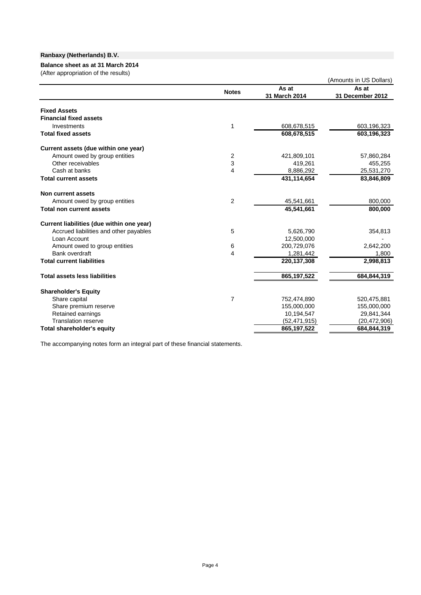### **Balance sheet as at 31 March 2014**

(After appropriation of the results)

| $\mu$ and appropriation of the results)         |                |               | (Amounts in US Dollars) |
|-------------------------------------------------|----------------|---------------|-------------------------|
|                                                 | <b>Notes</b>   | As at         | As at                   |
|                                                 |                | 31 March 2014 | 31 December 2012        |
| <b>Fixed Assets</b>                             |                |               |                         |
| <b>Financial fixed assets</b>                   |                |               |                         |
| Investments                                     | 1              | 608,678,515   | 603,196,323             |
| <b>Total fixed assets</b>                       |                | 608,678,515   | 603,196,323             |
| Current assets (due within one year)            |                |               |                         |
| Amount owed by group entities                   | 2              | 421,809,101   | 57,860,284              |
| Other receivables                               | 3              | 419,261       | 455,255                 |
| Cash at banks                                   | 4              | 8,886,292     | 25,531,270              |
| <b>Total current assets</b>                     |                | 431,114,654   | 83,846,809              |
| Non current assets                              |                |               |                         |
| Amount owed by group entities                   | 2              | 45,541,661    | 800,000                 |
| <b>Total non current assets</b>                 |                | 45,541,661    | 800,000                 |
| Current liabilities (due within one year)       |                |               |                         |
| Accrued liabilities and other payables          | 5              | 5,626,790     | 354,813                 |
| Loan Account                                    |                | 12,500,000    |                         |
| Amount owed to group entities                   | 6              | 200,729,076   | 2,642,200               |
| Bank overdraft                                  | 4              | 1,281,442     | 1,800                   |
| <b>Total current liabilities</b>                |                | 220, 137, 308 | 2,998,813               |
| <b>Total assets less liabilities</b>            |                | 865, 197, 522 | 684,844,319             |
|                                                 |                |               |                         |
| <b>Shareholder's Equity</b>                     |                |               |                         |
| Share capital                                   | $\overline{7}$ | 752,474,890   | 520,475,881             |
| Share premium reserve                           |                | 155,000,000   | 155,000,000             |
| Retained earnings<br><b>Translation reserve</b> |                | 10,194,547    | 29,841,344              |
|                                                 |                | (52,471,915)  | (20, 472, 906)          |
| <b>Total shareholder's equity</b>               |                | 865, 197, 522 | 684,844,319             |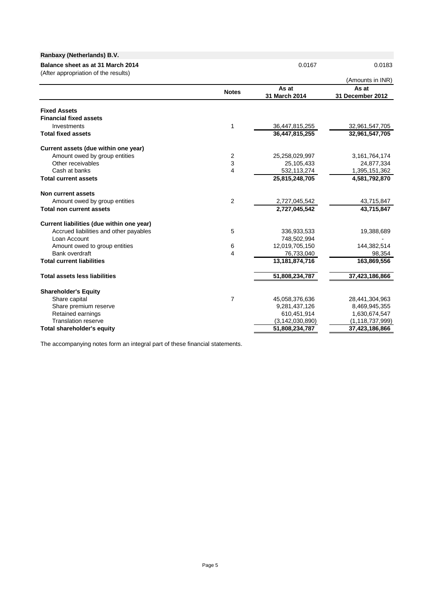| Ranbaxy (Netherlands) B.V.                                                |                |                        |                           |
|---------------------------------------------------------------------------|----------------|------------------------|---------------------------|
| Balance sheet as at 31 March 2014<br>(After appropriation of the results) |                | 0.0167                 | 0.0183                    |
|                                                                           |                |                        | (Amounts in INR)          |
|                                                                           | <b>Notes</b>   | As at<br>31 March 2014 | As at<br>31 December 2012 |
| <b>Fixed Assets</b>                                                       |                |                        |                           |
| <b>Financial fixed assets</b>                                             |                |                        |                           |
| Investments                                                               | 1              | 36,447,815,255         | 32,961,547,705            |
| <b>Total fixed assets</b>                                                 |                | 36,447,815,255         | 32,961,547,705            |
| Current assets (due within one year)                                      |                |                        |                           |
| Amount owed by group entities                                             | $\overline{2}$ | 25,258,029,997         | 3, 161, 764, 174          |
| Other receivables                                                         | 3              | 25,105,433             | 24,877,334                |
| Cash at banks                                                             | $\overline{4}$ | 532,113,274            | 1,395,151,362             |
| <b>Total current assets</b>                                               |                | 25,815,248,705         | 4,581,792,870             |
| Non current assets                                                        |                |                        |                           |
| Amount owed by group entities                                             | $\overline{2}$ | 2,727,045,542          | 43,715,847                |
| <b>Total non current assets</b>                                           |                | 2,727,045,542          | 43,715,847                |
| Current liabilities (due within one year)                                 |                |                        |                           |
| Accrued liabilities and other payables                                    | 5              | 336,933,533            | 19,388,689                |
| Loan Account                                                              |                | 748,502,994            |                           |
| Amount owed to group entities                                             | 6              | 12,019,705,150         | 144,382,514               |
| Bank overdraft                                                            | 4              | 76,733,040             | 98,354                    |
| <b>Total current liabilities</b>                                          |                | 13, 181, 874, 716      | 163,869,556               |
| <b>Total assets less liabilities</b>                                      |                | 51,808,234,787         | 37,423,186,866            |
| <b>Shareholder's Equity</b>                                               |                |                        |                           |
| Share capital                                                             | $\overline{7}$ | 45,058,376,636         | 28,441,304,963            |
| Share premium reserve                                                     |                | 9,281,437,126          | 8,469,945,355             |
| Retained earnings                                                         |                | 610,451,914            | 1,630,674,547             |
| <b>Translation reserve</b>                                                |                | (3, 142, 030, 890)     | (1, 118, 737, 999)        |
| Total shareholder's equity                                                |                | 51,808,234,787         | 37,423,186,866            |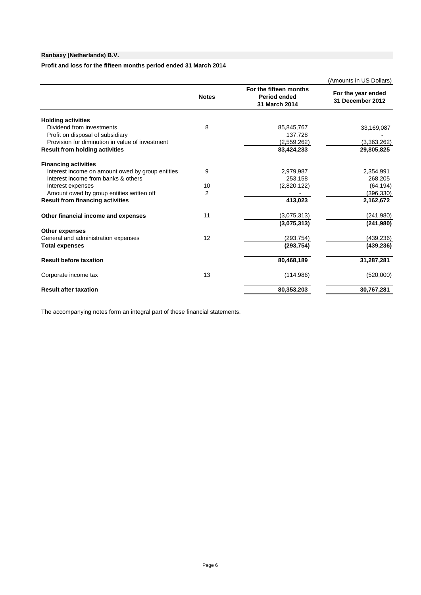**Profit and loss for the fifteen months period ended 31 March 2014**

|                                                  |                |                                                                | (Amounts in US Dollars)                |
|--------------------------------------------------|----------------|----------------------------------------------------------------|----------------------------------------|
|                                                  | <b>Notes</b>   | For the fifteen months<br><b>Period ended</b><br>31 March 2014 | For the year ended<br>31 December 2012 |
| <b>Holding activities</b>                        |                |                                                                |                                        |
| Dividend from investments                        | 8              | 85,845,767                                                     | 33,169,087                             |
| Profit on disposal of subsidiary                 |                | 137,728                                                        |                                        |
| Provision for diminution in value of investment  |                | (2,559,262)                                                    | (3,363,262)                            |
| <b>Result from holding activities</b>            |                | 83,424,233                                                     | 29,805,825                             |
| <b>Financing activities</b>                      |                |                                                                |                                        |
| Interest income on amount owed by group entities | 9              | 2,979,987                                                      | 2,354,991                              |
| Interest income from banks & others              |                | 253,158                                                        | 268,205                                |
| Interest expenses                                | 10             | (2,820,122)                                                    | (64, 194)                              |
| Amount owed by group entities written off        | $\overline{2}$ |                                                                | (396, 330)                             |
| <b>Result from financing activities</b>          |                | 413,023                                                        | 2,162,672                              |
| Other financial income and expenses              | 11             | (3,075,313)                                                    | (241, 980)                             |
|                                                  |                | (3,075,313)                                                    | (241, 980)                             |
| <b>Other expenses</b>                            |                |                                                                |                                        |
| General and administration expenses              | 12             | (293, 754)                                                     | (439, 236)                             |
| <b>Total expenses</b>                            |                | (293, 754)                                                     | (439, 236)                             |
| <b>Result before taxation</b>                    |                | 80,468,189                                                     | 31,287,281                             |
| Corporate income tax                             | 13             | (114,986)                                                      | (520,000)                              |
| <b>Result after taxation</b>                     |                | 80,353,203                                                     | 30,767,281                             |
|                                                  |                |                                                                |                                        |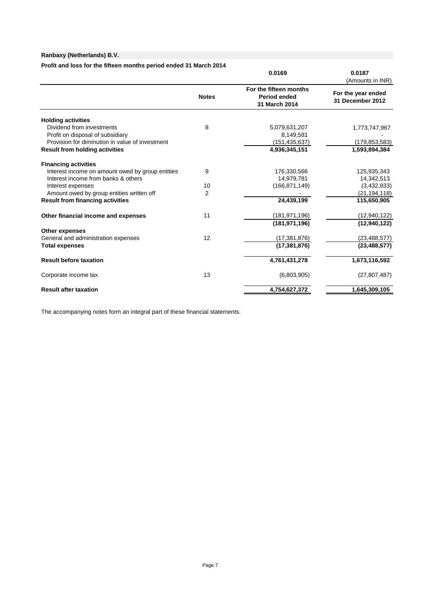### **Profit and loss for the fifteen months period ended 31 March 2014**

|                                                              |                | 0.0169                                                         | 0.0187<br>(Amounts in INR)             |
|--------------------------------------------------------------|----------------|----------------------------------------------------------------|----------------------------------------|
|                                                              | <b>Notes</b>   | For the fifteen months<br><b>Period ended</b><br>31 March 2014 | For the year ended<br>31 December 2012 |
| <b>Holding activities</b>                                    |                |                                                                |                                        |
| Dividend from investments                                    | 8              | 5,079,631,207                                                  | 1,773,747,967                          |
| Profit on disposal of subsidiary                             |                | 8,149,581                                                      |                                        |
| Provision for diminution in value of investment              |                | (151, 435, 637)                                                | (179, 853, 583)                        |
| <b>Result from holding activities</b>                        |                | 4,936,345,151                                                  | 1,593,894,384                          |
| <b>Financing activities</b>                                  |                |                                                                |                                        |
| Interest income on amount owed by group entities             | 9              | 176,330,566                                                    | 125,935,343                            |
| Interest income from banks & others                          |                | 14,979,781                                                     | 14,342,513                             |
| Interest expenses                                            | 10             | (166, 871, 149)                                                | (3,432,833)                            |
| Amount owed by group entities written off                    | $\overline{2}$ |                                                                | (21, 194, 118)                         |
| <b>Result from financing activities</b>                      |                | 24,439,199                                                     | 115,650,905                            |
| Other financial income and expenses                          | 11             | (181, 971, 196)                                                | (12, 940, 122)                         |
|                                                              |                | (181.971.196)                                                  | (12,940,122)                           |
| <b>Other expenses</b><br>General and administration expenses | 12             | (17, 381, 876)                                                 |                                        |
|                                                              |                |                                                                | (23, 488, 577)                         |
| <b>Total expenses</b>                                        |                | (17, 381, 876)                                                 | (23, 488, 577)                         |
| <b>Result before taxation</b>                                |                | 4,761,431,278                                                  | 1,673,116,592                          |
| Corporate income tax                                         | 13             | (6,803,905)                                                    | (27, 807, 487)                         |
| <b>Result after taxation</b>                                 |                | 4,754,627,372                                                  | 1,645,309,105                          |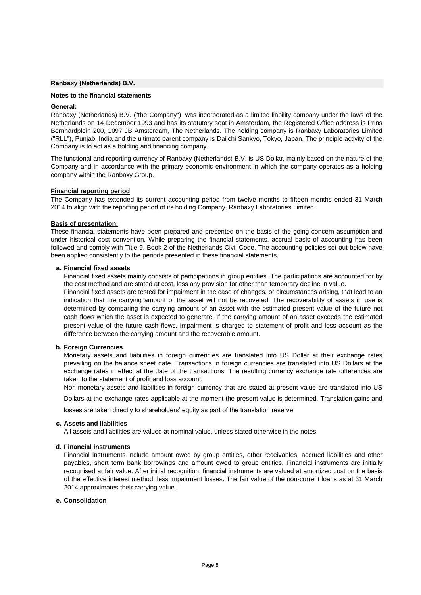#### **Notes to the financial statements**

#### **General:**

Ranbaxy (Netherlands) B.V. ("the Company") was incorporated as a limited liability company under the laws of the Netherlands on 14 December 1993 and has its statutory seat in Amsterdam, the Registered Office address is Prins Bernhardplein 200, 1097 JB Amsterdam, The Netherlands. The holding company is Ranbaxy Laboratories Limited ("RLL"), Punjab, India and the ultimate parent company is Daiichi Sankyo, Tokyo, Japan. The principle activity of the Company is to act as a holding and financing company.

The functional and reporting currency of Ranbaxy (Netherlands) B.V. is US Dollar, mainly based on the nature of the Company and in accordance with the primary economic environment in which the company operates as a holding company within the Ranbaxy Group.

#### **Financial reporting period**

The Company has extended its current accounting period from twelve months to fifteen months ended 31 March 2014 to align with the reporting period of its holding Company, Ranbaxy Laboratories Limited.

#### **Basis of presentation:**

These financial statements have been prepared and presented on the basis of the going concern assumption and under historical cost convention. While preparing the financial statements, accrual basis of accounting has been followed and comply with Title 9, Book 2 of the Netherlands Civil Code. The accounting policies set out below have been applied consistently to the periods presented in these financial statements.

#### **a. Financial fixed assets**

Financial fixed assets mainly consists of participations in group entities. The participations are accounted for by the cost method and are stated at cost, less any provision for other than temporary decline in value.

Financial fixed assets are tested for impairment in the case of changes, or circumstances arising, that lead to an indication that the carrying amount of the asset will not be recovered. The recoverability of assets in use is determined by comparing the carrying amount of an asset with the estimated present value of the future net cash flows which the asset is expected to generate. If the carrying amount of an asset exceeds the estimated present value of the future cash flows, impairment is charged to statement of profit and loss account as the difference between the carrying amount and the recoverable amount.

#### **b. Foreign Currencies**

Monetary assets and liabilities in foreign currencies are translated into US Dollar at their exchange rates prevailing on the balance sheet date. Transactions in foreign currencies are translated into US Dollars at the exchange rates in effect at the date of the transactions. The resulting currency exchange rate differences are taken to the statement of profit and loss account.

Non-monetary assets and liabilities in foreign currency that are stated at present value are translated into US

Dollars at the exchange rates applicable at the moment the present value is determined. Translation gains and

losses are taken directly to shareholders' equity as part of the translation reserve.

#### **c. Assets and liabilities**

All assets and liabilities are valued at nominal value, unless stated otherwise in the notes.

#### **d. Financial instruments**

Financial instruments include amount owed by group entities, other receivables, accrued liabilities and other payables, short term bank borrowings and amount owed to group entities. Financial instruments are initially recognised at fair value. After initial recognition, financial instruments are valued at amortized cost on the basis of the effective interest method, less impairment losses. The fair value of the non-current loans as at 31 March 2014 approximates their carrying value.

### **e. Consolidation**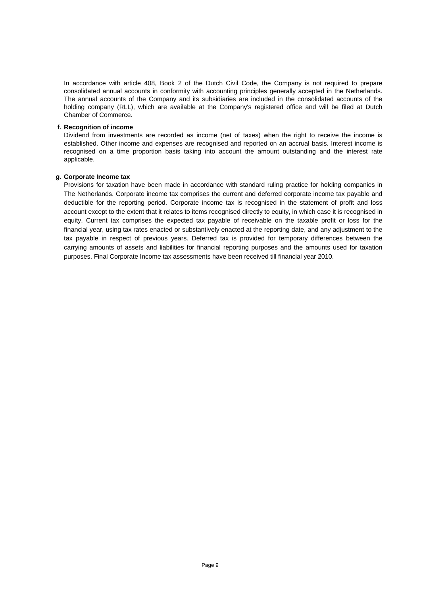In accordance with article 408, Book 2 of the Dutch Civil Code, the Company is not required to prepare consolidated annual accounts in conformity with accounting principles generally accepted in the Netherlands. The annual accounts of the Company and its subsidiaries are included in the consolidated accounts of the holding company (RLL), which are available at the Company's registered office and will be filed at Dutch Chamber of Commerce.

### **f. Recognition of income**

Dividend from investments are recorded as income (net of taxes) when the right to receive the income is established. Other income and expenses are recognised and reported on an accrual basis. Interest income is recognised on a time proportion basis taking into account the amount outstanding and the interest rate applicable.

#### **g. Corporate Income tax**

Provisions for taxation have been made in accordance with standard ruling practice for holding companies in The Netherlands. Corporate income tax comprises the current and deferred corporate income tax payable and deductible for the reporting period. Corporate income tax is recognised in the statement of profit and loss account except to the extent that it relates to items recognised directly to equity, in which case it is recognised in equity. Current tax comprises the expected tax payable of receivable on the taxable profit or loss for the financial year, using tax rates enacted or substantively enacted at the reporting date, and any adjustment to the tax payable in respect of previous years. Deferred tax is provided for temporary differences between the carrying amounts of assets and liabilities for financial reporting purposes and the amounts used for taxation purposes. Final Corporate Income tax assessments have been received till financial year 2010.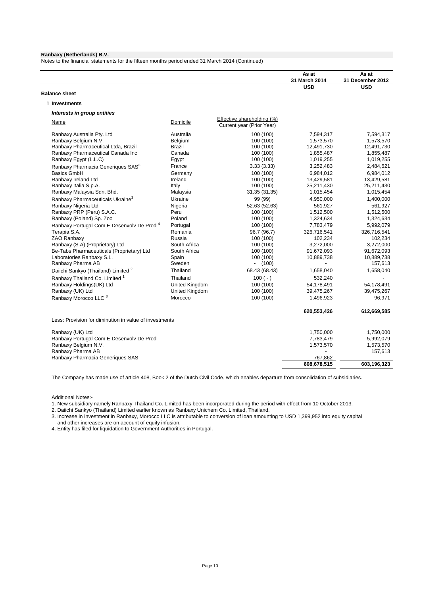Notes to the financial statements for the fifteen months period ended 31 March 2014 (Continued)

|                                                        |                       |                                                         | As at         | As at                 |
|--------------------------------------------------------|-----------------------|---------------------------------------------------------|---------------|-----------------------|
|                                                        |                       |                                                         | 31 March 2014 | 31 December 2012      |
| <b>Balance sheet</b>                                   |                       |                                                         | <b>USD</b>    | <b>USD</b>            |
|                                                        |                       |                                                         |               |                       |
| 1 Investments                                          |                       |                                                         |               |                       |
| Interests in group entities                            |                       |                                                         |               |                       |
| Name                                                   | Domicile              | Effective shareholding (%)<br>Current year (Prior Year) |               |                       |
| Ranbaxy Australia Pty. Ltd                             | Australia             | 100 (100)                                               | 7,594,317     | 7,594,317             |
| Ranbaxy Belgium N.V.                                   | Belgium               | 100 (100)                                               | 1,573,570     | 1,573,570             |
| Ranbaxy Pharmaceutical Ltda, Brazil                    | <b>Brazil</b>         | 100 (100)                                               | 12,491,730    | 12,491,730            |
| Ranbaxy Pharmaceutical Canada Inc                      | Canada                | 100 (100)                                               | 1,855,487     | 1,855,487             |
| Ranbaxy Egypt (L.L.C)                                  | Egypt                 | 100 (100)                                               | 1,019,255     | 1,019,255             |
| Ranbaxy Pharmacia Generiques SAS <sup>3</sup>          | France                | 3.33(3.33)                                              | 3,252,483     | 2,484,621             |
| <b>Basics GmbH</b>                                     | Germany               | 100 (100)                                               | 6,984,012     | 6,984,012             |
| Ranbaxy Ireland Ltd                                    | Ireland               | 100 (100)                                               | 13,429,581    | 13,429,581            |
| Ranbaxy Italia S.p.A.                                  | Italy                 | 100 (100)                                               | 25,211,430    | 25,211,430            |
| Ranbaxy Malaysia Sdn. Bhd.                             | Malaysia              | 31.35 (31.35)                                           | 1,015,454     | 1,015,454             |
| Ranbaxy Pharmaceuticals Ukraine <sup>3</sup>           | Ukraine               | 99 (99)                                                 | 4,950,000     | 1,400,000             |
| Ranbaxy Nigeria Ltd                                    | Nigeria               | 52.63 (52.63)                                           | 561,927       | 561,927               |
| Ranbaxy PRP (Peru) S.A.C.                              | Peru                  | 100 (100)                                               | 1,512,500     | 1,512,500             |
| Ranbaxy (Poland) Sp. Zoo                               | Poland                | 100 (100)                                               | 1,324,634     | 1,324,634             |
| Ranbaxy Portugal-Com E Desenvolv De Prod <sup>4</sup>  | Portugal              | 100 (100)                                               | 7,783,479     | 5,992,079             |
| Terapia S.A.                                           | Romania               | 96.7 (96.7)                                             | 326,716,541   | 326,716,541           |
| ZAO Ranbaxy                                            | Russia                | 100 (100)                                               | 102,234       | 102,234               |
| Ranbaxy (S.A) (Proprietary) Ltd                        | South Africa          | 100 (100)                                               | 3,272,000     | 3,272,000             |
| Be-Tabs Pharmaceuticals (Proprietary) Ltd              | South Africa          | 100 (100)                                               | 91,672,093    | 91,672,093            |
| Laboratories Ranbaxy S.L.<br>Ranbaxy Pharma AB         | Spain<br>Sweden       | 100 (100)<br>$- (100)$                                  | 10,889,738    | 10,889,738<br>157,613 |
|                                                        | Thailand              | 68.43 (68.43)                                           |               | 1,658,040             |
| Daiichi Sankyo (Thailand) Limited <sup>2</sup>         |                       |                                                         | 1,658,040     |                       |
| Ranbaxy Thailand Co. Limited <sup>1</sup>              | Thailand              | $100 (-)$                                               | 532,240       | $\overline{a}$        |
| Ranbaxy Holdings(UK) Ltd                               | United Kingdom        | 100 (100)                                               | 54,178,491    | 54,178,491            |
| Ranbaxy (UK) Ltd                                       | <b>United Kingdom</b> | 100 (100)                                               | 39,475,267    | 39,475,267            |
| Ranbaxy Morocco LLC 3                                  | Morocco               | 100 (100)                                               | 1,496,923     | 96,971                |
|                                                        |                       |                                                         | 620,553,426   | 612,669,585           |
| Less: Provision for diminution in value of investments |                       |                                                         |               |                       |
| Ranbaxy (UK) Ltd                                       |                       |                                                         | 1,750,000     | 1,750,000             |
| Ranbaxy Portugal-Com E Desenvolv De Prod               |                       |                                                         | 7,783,479     | 5,992,079             |
| Ranbaxy Belgium N.V.                                   |                       |                                                         | 1,573,570     | 1,573,570             |
| Ranbaxy Pharma AB                                      |                       |                                                         |               | 157,613               |
| Ranbaxy Pharmacia Generiques SAS                       |                       |                                                         | 767,862       |                       |
|                                                        |                       |                                                         | 608,678,515   | 603,196,323           |

The Company has made use of article 408, Book 2 of the Dutch Civil Code, which enables departure from consolidation of subsidiaries.

Additional Notes:-

1. New subsidiary namely Ranbaxy Thailand Co. Limited has been incorporated during the period with effect from 10 October 2013.

2. Daiichi Sankyo (Thailand) Limited earlier known as Ranbaxy Unichem Co. Limited, Thailand.

3. Increase in investment in Ranbaxy, Morocco LLC is attributable to conversion of loan amounting to USD 1,399,952 into equity capital and other increases are on account of equity infusion.

4. Entity has filed for liquidation to Government Authorities in Portugal.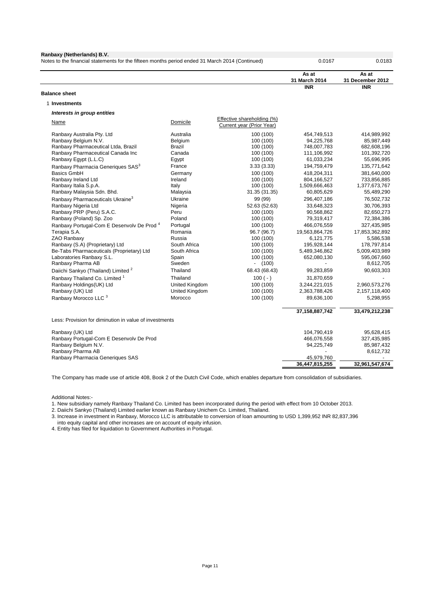| Ranbaxy (Netherlands) B.V.<br>Notes to the financial statements for the fifteen months period ended 31 March 2014 (Continued) |                        |                                                                | 0.0167                       | 0.0183                       |
|-------------------------------------------------------------------------------------------------------------------------------|------------------------|----------------------------------------------------------------|------------------------------|------------------------------|
|                                                                                                                               |                        |                                                                | As at<br>31 March 2014       | As at<br>31 December 2012    |
|                                                                                                                               |                        |                                                                | <b>INR</b>                   | <b>INR</b>                   |
| <b>Balance sheet</b>                                                                                                          |                        |                                                                |                              |                              |
| 1 Investments                                                                                                                 |                        |                                                                |                              |                              |
| Interests in group entities                                                                                                   |                        |                                                                |                              |                              |
| <b>Name</b>                                                                                                                   | Domicile               | <b>Effective shareholding (%)</b><br>Current year (Prior Year) |                              |                              |
| Ranbaxy Australia Pty. Ltd                                                                                                    | Australia              | 100 (100)                                                      | 454,749,513                  | 414,989,992                  |
| Ranbaxy Belgium N.V.                                                                                                          | Belgium                | 100 (100)                                                      | 94,225,768                   | 85,987,449                   |
| Ranbaxy Pharmaceutical Ltda, Brazil                                                                                           | Brazil                 | 100 (100)                                                      | 748,007,783                  | 682,608,196                  |
| Ranbaxy Pharmaceutical Canada Inc                                                                                             | Canada                 | 100 (100)                                                      | 111,106,992                  | 101,392,720                  |
| Ranbaxy Egypt (L.L.C)                                                                                                         | Egypt                  | 100 (100)                                                      | 61,033,234                   | 55,696,995                   |
| Ranbaxy Pharmacia Generiques SAS <sup>3</sup>                                                                                 | France                 | 3.33(3.33)                                                     | 194,759,479                  | 135,771,642                  |
| <b>Basics GmbH</b>                                                                                                            | Germany                | 100 (100)                                                      | 418,204,311                  | 381,640,000                  |
| Ranbaxy Ireland Ltd                                                                                                           | Ireland                | 100 (100)                                                      | 804,166,527                  | 733,856,885                  |
| Ranbaxy Italia S.p.A.                                                                                                         | Italy                  | 100 (100)                                                      | 1,509,666,463                | 1,377,673,767                |
| Ranbaxy Malaysia Sdn. Bhd.                                                                                                    | Malaysia               | 31.35 (31.35)                                                  | 60,805,629                   | 55,489,290                   |
| Ranbaxy Pharmaceuticals Ukraine <sup>3</sup>                                                                                  | Ukraine                | 99 (99)                                                        | 296,407,186                  | 76,502,732                   |
| Ranbaxy Nigeria Ltd                                                                                                           | Nigeria                | 52.63 (52.63)                                                  | 33,648,323                   | 30,706,393                   |
| Ranbaxy PRP (Peru) S.A.C.                                                                                                     | Peru                   | 100 (100)                                                      | 90,568,862                   | 82,650,273                   |
| Ranbaxy (Poland) Sp. Zoo                                                                                                      | Poland                 | 100 (100)                                                      | 79,319,417                   | 72,384,386                   |
| Ranbaxy Portugal-Com E Desenvolv De Prod <sup>4</sup>                                                                         | Portugal               | 100 (100)                                                      | 466,076,559                  | 327,435,985                  |
| Terapia S.A.                                                                                                                  | Romania                | 96.7 (96.7)                                                    | 19,563,864,726               | 17,853,362,892               |
| ZAO Ranbaxy<br>Ranbaxy (S.A) (Proprietary) Ltd                                                                                | Russia<br>South Africa | 100 (100)                                                      | 6,121,775                    | 5,586,538                    |
| Be-Tabs Pharmaceuticals (Proprietary) Ltd                                                                                     | South Africa           | 100 (100)<br>100 (100)                                         | 195,928,144<br>5,489,346,862 | 178,797,814<br>5,009,403,989 |
| Laboratories Ranbaxy S.L.                                                                                                     | Spain                  | 100 (100)                                                      | 652,080,130                  | 595,067,660                  |
| Ranbaxy Pharma AB                                                                                                             | Sweden                 | $- (100)$                                                      |                              | 8,612,705                    |
| Daiichi Sankyo (Thailand) Limited <sup>2</sup>                                                                                | Thailand               | 68.43 (68.43)                                                  | 99,283,859                   | 90,603,303                   |
| Ranbaxy Thailand Co. Limited <sup>1</sup>                                                                                     | Thailand               | $100 (-)$                                                      | 31,870,659                   |                              |
| Ranbaxy Holdings(UK) Ltd                                                                                                      | <b>United Kingdom</b>  | 100 (100)                                                      | 3,244,221,015                | 2,960,573,276                |
| Ranbaxy (UK) Ltd                                                                                                              | <b>United Kingdom</b>  | 100 (100)                                                      | 2,363,788,426                | 2,157,118,400                |
| Ranbaxy Morocco LLC 3                                                                                                         | Morocco                | 100 (100)                                                      | 89,636,100                   | 5,298,955                    |
|                                                                                                                               |                        |                                                                |                              |                              |
|                                                                                                                               |                        |                                                                | 37,158,887,742               | 33,479,212,238               |
| Less: Provision for diminution in value of investments                                                                        |                        |                                                                |                              |                              |
| Ranbaxy (UK) Ltd                                                                                                              |                        |                                                                | 104.790.419                  | 95,628,415                   |
| Ranbaxy Portugal-Com E Desenvolv De Prod                                                                                      |                        |                                                                | 466,076,558                  | 327,435,985                  |
| Ranbaxy Belgium N.V.                                                                                                          |                        |                                                                | 94,225,749                   | 85,987,432                   |
| Ranbaxy Pharma AB                                                                                                             |                        |                                                                |                              | 8,612,732                    |
| Ranbaxy Pharmacia Generiques SAS                                                                                              |                        |                                                                | 45,979,760                   |                              |
|                                                                                                                               |                        |                                                                | 36.447.815.255               | 32,961,547,674               |

The Company has made use of article 408, Book 2 of the Dutch Civil Code, which enables departure from consolidation of subsidiaries.

Additional Notes:-

1. New subsidiary namely Ranbaxy Thailand Co. Limited has been incorporated during the period with effect from 10 October 2013.

2. Daiichi Sankyo (Thailand) Limited earlier known as Ranbaxy Unichem Co. Limited, Thailand.

3. Increase in investment in Ranbaxy, Morocco LLC is attributable to conversion of loan amounting to USD 1,399,952 INR 82,837,396 into equity capital and other increases are on account of equity infusion.

4. Entity has filed for liquidation to Government Authorities in Portugal.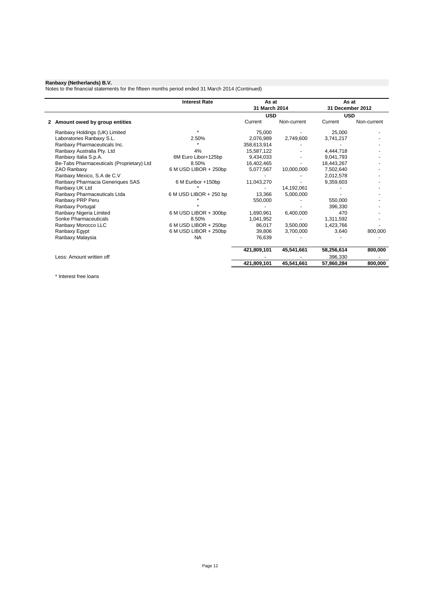Notes to the financial statements for the fifteen months period ended 31 March 2014 (Continued)

|                                           | <b>Interest Rate</b>   | As at<br>31 March 2014 |             | As at<br>31 December 2012 |             |
|-------------------------------------------|------------------------|------------------------|-------------|---------------------------|-------------|
|                                           |                        | <b>USD</b>             |             | <b>USD</b>                |             |
| 2 Amount owed by group entities           |                        | Current                | Non-current | Current                   | Non-current |
| Ranbaxy Holdings (UK) Limited             |                        | 75,000                 |             | 25,000                    |             |
| Laboratories Ranbaxy S.L.                 | 2.50%                  | 2,076,989              | 2,749,600   | 3,741,217                 |             |
| Ranbaxy Pharmaceuticals Inc.              |                        | 358,613,914            |             |                           |             |
| Ranbaxy Australia Pty. Ltd                | 4%                     | 15,587,122             |             | 4,444,718                 |             |
| Ranbaxy Italia S.p.A.                     | 6M Euro Libor+125bp    | 9.434.033              |             | 9.041.793                 |             |
| Be-Tabs Pharmaceuticals (Proprietary) Ltd | 8.50%                  | 16,402,465             |             | 18,443,267                |             |
| ZAO Ranbaxy                               | 6 M USD LIBOR + 250bp  | 5,077,567              | 10,000,000  | 7,502,640                 |             |
| Ranbaxy Mexico, S.A de C.V                |                        |                        |             | 2,012,578                 |             |
| Ranbaxy Pharmacia Generiques SAS          | 6 M Euribor +150bp     | 11,043,270             |             | 9,359,603                 |             |
| Ranbaxy UK Ltd                            |                        |                        | 14,192,061  |                           |             |
| Ranbaxy Pharmaceuticals Ltda              | 6 M USD LIBOR + 250 bp | 13.366                 | 5,000,000   |                           |             |
| Ranbaxy PRP Peru                          |                        | 550,000                |             | 550,000                   |             |
| Ranbaxy Portugal                          |                        |                        |             | 396.330                   |             |
| Ranbaxy Nigeria Limited                   | 6 M USD LIBOR + 300bp  | 1,690,961              | 6,400,000   | 470                       |             |
| Sonke Pharmaceuticals                     | 8.50%                  | 1,041,952              |             | 1,311,592                 |             |
| Ranbaxy Morocco LLC                       | 6 M USD LIBOR + 250bp  | 86.017                 | 3,500,000   | 1,423,766                 |             |
| Ranbaxy Egypt                             | 6 M USD LIBOR + 250bp  | 39,806                 | 3,700,000   | 3,640                     | 800,000     |
| Ranbaxy Malaysia                          | <b>NA</b>              | 76,639                 |             |                           |             |
|                                           |                        | 421,809,101            | 45,541,661  | 58,256,614                | 800,000     |
| Less: Amount written off                  |                        |                        |             | 396,330                   |             |
|                                           |                        | 421,809,101            | 45,541,661  | 57.860.284                | 800,000     |

\* Interest free loans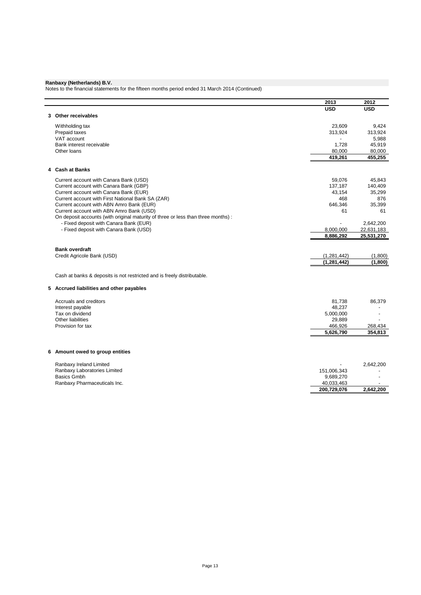Notes to the financial statements for the fifteen months period ended 31 March 2014 (Continued)

| <b>USD</b><br><b>USD</b><br>3 Other receivables<br>Withholding tax<br>23.609<br>9,424<br>Prepaid taxes<br>313,924<br>313,924<br>VAT account<br>5,988<br>Bank interest receivable<br>45,919<br>1,728<br>Other loans<br>80,000<br>80,000<br>455,255<br>419,261<br>4 Cash at Banks<br>45,843<br>Current account with Canara Bank (USD)<br>59.076<br>Current account with Canara Bank (GBP)<br>137,187<br>140,409<br>Current account with Canara Bank (EUR)<br>43,154<br>35,299<br>Current account with First National Bank SA (ZAR)<br>468<br>876<br>Current account with ABN Amro Bank (EUR)<br>646,346<br>35,399<br>Current account with ABN Amro Bank (USD)<br>61<br>61<br>On deposit accounts (with original maturity of three or less than three months) :<br>- Fixed deposit with Canara Bank (EUR)<br>2,642,200<br>- Fixed deposit with Canara Bank (USD)<br>22,631,183<br>8,000,000<br>25,531,270<br>8,886,292<br><b>Bank overdraft</b><br>Credit Agricole Bank (USD)<br>(1,800)<br>(1, 281, 442)<br>(1, 281, 442)<br>(1,800)<br>Cash at banks & deposits is not restricted and is freely distributable.<br>5 Accrued liabilities and other payables<br>Accruals and creditors<br>86,379<br>81,738<br>Interest payable<br>48,237<br>Tax on dividend<br>5,000,000<br>Other liabilities<br>29,889<br>Provision for tax<br>466,926<br>268,434<br>5,626,790<br>354,813<br>6 Amount owed to group entities<br>Ranbaxy Ireland Limited<br>2,642,200<br>Ranbaxy Laboratories Limited<br>151,006,343<br><b>Basics Gmbh</b><br>9,689,270<br>Ranbaxy Pharmaceuticals Inc.<br>40,033,463<br>200,729,076<br>2,642,200 |  | 2013 | 2012 |
|----------------------------------------------------------------------------------------------------------------------------------------------------------------------------------------------------------------------------------------------------------------------------------------------------------------------------------------------------------------------------------------------------------------------------------------------------------------------------------------------------------------------------------------------------------------------------------------------------------------------------------------------------------------------------------------------------------------------------------------------------------------------------------------------------------------------------------------------------------------------------------------------------------------------------------------------------------------------------------------------------------------------------------------------------------------------------------------------------------------------------------------------------------------------------------------------------------------------------------------------------------------------------------------------------------------------------------------------------------------------------------------------------------------------------------------------------------------------------------------------------------------------------------------------------------------------------------------------------------------|--|------|------|
|                                                                                                                                                                                                                                                                                                                                                                                                                                                                                                                                                                                                                                                                                                                                                                                                                                                                                                                                                                                                                                                                                                                                                                                                                                                                                                                                                                                                                                                                                                                                                                                                                |  |      |      |
|                                                                                                                                                                                                                                                                                                                                                                                                                                                                                                                                                                                                                                                                                                                                                                                                                                                                                                                                                                                                                                                                                                                                                                                                                                                                                                                                                                                                                                                                                                                                                                                                                |  |      |      |
|                                                                                                                                                                                                                                                                                                                                                                                                                                                                                                                                                                                                                                                                                                                                                                                                                                                                                                                                                                                                                                                                                                                                                                                                                                                                                                                                                                                                                                                                                                                                                                                                                |  |      |      |
|                                                                                                                                                                                                                                                                                                                                                                                                                                                                                                                                                                                                                                                                                                                                                                                                                                                                                                                                                                                                                                                                                                                                                                                                                                                                                                                                                                                                                                                                                                                                                                                                                |  |      |      |
|                                                                                                                                                                                                                                                                                                                                                                                                                                                                                                                                                                                                                                                                                                                                                                                                                                                                                                                                                                                                                                                                                                                                                                                                                                                                                                                                                                                                                                                                                                                                                                                                                |  |      |      |
|                                                                                                                                                                                                                                                                                                                                                                                                                                                                                                                                                                                                                                                                                                                                                                                                                                                                                                                                                                                                                                                                                                                                                                                                                                                                                                                                                                                                                                                                                                                                                                                                                |  |      |      |
|                                                                                                                                                                                                                                                                                                                                                                                                                                                                                                                                                                                                                                                                                                                                                                                                                                                                                                                                                                                                                                                                                                                                                                                                                                                                                                                                                                                                                                                                                                                                                                                                                |  |      |      |
|                                                                                                                                                                                                                                                                                                                                                                                                                                                                                                                                                                                                                                                                                                                                                                                                                                                                                                                                                                                                                                                                                                                                                                                                                                                                                                                                                                                                                                                                                                                                                                                                                |  |      |      |
|                                                                                                                                                                                                                                                                                                                                                                                                                                                                                                                                                                                                                                                                                                                                                                                                                                                                                                                                                                                                                                                                                                                                                                                                                                                                                                                                                                                                                                                                                                                                                                                                                |  |      |      |
|                                                                                                                                                                                                                                                                                                                                                                                                                                                                                                                                                                                                                                                                                                                                                                                                                                                                                                                                                                                                                                                                                                                                                                                                                                                                                                                                                                                                                                                                                                                                                                                                                |  |      |      |
|                                                                                                                                                                                                                                                                                                                                                                                                                                                                                                                                                                                                                                                                                                                                                                                                                                                                                                                                                                                                                                                                                                                                                                                                                                                                                                                                                                                                                                                                                                                                                                                                                |  |      |      |
|                                                                                                                                                                                                                                                                                                                                                                                                                                                                                                                                                                                                                                                                                                                                                                                                                                                                                                                                                                                                                                                                                                                                                                                                                                                                                                                                                                                                                                                                                                                                                                                                                |  |      |      |
|                                                                                                                                                                                                                                                                                                                                                                                                                                                                                                                                                                                                                                                                                                                                                                                                                                                                                                                                                                                                                                                                                                                                                                                                                                                                                                                                                                                                                                                                                                                                                                                                                |  |      |      |
|                                                                                                                                                                                                                                                                                                                                                                                                                                                                                                                                                                                                                                                                                                                                                                                                                                                                                                                                                                                                                                                                                                                                                                                                                                                                                                                                                                                                                                                                                                                                                                                                                |  |      |      |
|                                                                                                                                                                                                                                                                                                                                                                                                                                                                                                                                                                                                                                                                                                                                                                                                                                                                                                                                                                                                                                                                                                                                                                                                                                                                                                                                                                                                                                                                                                                                                                                                                |  |      |      |
|                                                                                                                                                                                                                                                                                                                                                                                                                                                                                                                                                                                                                                                                                                                                                                                                                                                                                                                                                                                                                                                                                                                                                                                                                                                                                                                                                                                                                                                                                                                                                                                                                |  |      |      |
|                                                                                                                                                                                                                                                                                                                                                                                                                                                                                                                                                                                                                                                                                                                                                                                                                                                                                                                                                                                                                                                                                                                                                                                                                                                                                                                                                                                                                                                                                                                                                                                                                |  |      |      |
|                                                                                                                                                                                                                                                                                                                                                                                                                                                                                                                                                                                                                                                                                                                                                                                                                                                                                                                                                                                                                                                                                                                                                                                                                                                                                                                                                                                                                                                                                                                                                                                                                |  |      |      |
|                                                                                                                                                                                                                                                                                                                                                                                                                                                                                                                                                                                                                                                                                                                                                                                                                                                                                                                                                                                                                                                                                                                                                                                                                                                                                                                                                                                                                                                                                                                                                                                                                |  |      |      |
|                                                                                                                                                                                                                                                                                                                                                                                                                                                                                                                                                                                                                                                                                                                                                                                                                                                                                                                                                                                                                                                                                                                                                                                                                                                                                                                                                                                                                                                                                                                                                                                                                |  |      |      |
|                                                                                                                                                                                                                                                                                                                                                                                                                                                                                                                                                                                                                                                                                                                                                                                                                                                                                                                                                                                                                                                                                                                                                                                                                                                                                                                                                                                                                                                                                                                                                                                                                |  |      |      |
|                                                                                                                                                                                                                                                                                                                                                                                                                                                                                                                                                                                                                                                                                                                                                                                                                                                                                                                                                                                                                                                                                                                                                                                                                                                                                                                                                                                                                                                                                                                                                                                                                |  |      |      |
|                                                                                                                                                                                                                                                                                                                                                                                                                                                                                                                                                                                                                                                                                                                                                                                                                                                                                                                                                                                                                                                                                                                                                                                                                                                                                                                                                                                                                                                                                                                                                                                                                |  |      |      |
|                                                                                                                                                                                                                                                                                                                                                                                                                                                                                                                                                                                                                                                                                                                                                                                                                                                                                                                                                                                                                                                                                                                                                                                                                                                                                                                                                                                                                                                                                                                                                                                                                |  |      |      |
|                                                                                                                                                                                                                                                                                                                                                                                                                                                                                                                                                                                                                                                                                                                                                                                                                                                                                                                                                                                                                                                                                                                                                                                                                                                                                                                                                                                                                                                                                                                                                                                                                |  |      |      |
|                                                                                                                                                                                                                                                                                                                                                                                                                                                                                                                                                                                                                                                                                                                                                                                                                                                                                                                                                                                                                                                                                                                                                                                                                                                                                                                                                                                                                                                                                                                                                                                                                |  |      |      |
|                                                                                                                                                                                                                                                                                                                                                                                                                                                                                                                                                                                                                                                                                                                                                                                                                                                                                                                                                                                                                                                                                                                                                                                                                                                                                                                                                                                                                                                                                                                                                                                                                |  |      |      |
|                                                                                                                                                                                                                                                                                                                                                                                                                                                                                                                                                                                                                                                                                                                                                                                                                                                                                                                                                                                                                                                                                                                                                                                                                                                                                                                                                                                                                                                                                                                                                                                                                |  |      |      |
|                                                                                                                                                                                                                                                                                                                                                                                                                                                                                                                                                                                                                                                                                                                                                                                                                                                                                                                                                                                                                                                                                                                                                                                                                                                                                                                                                                                                                                                                                                                                                                                                                |  |      |      |
|                                                                                                                                                                                                                                                                                                                                                                                                                                                                                                                                                                                                                                                                                                                                                                                                                                                                                                                                                                                                                                                                                                                                                                                                                                                                                                                                                                                                                                                                                                                                                                                                                |  |      |      |
|                                                                                                                                                                                                                                                                                                                                                                                                                                                                                                                                                                                                                                                                                                                                                                                                                                                                                                                                                                                                                                                                                                                                                                                                                                                                                                                                                                                                                                                                                                                                                                                                                |  |      |      |
|                                                                                                                                                                                                                                                                                                                                                                                                                                                                                                                                                                                                                                                                                                                                                                                                                                                                                                                                                                                                                                                                                                                                                                                                                                                                                                                                                                                                                                                                                                                                                                                                                |  |      |      |
|                                                                                                                                                                                                                                                                                                                                                                                                                                                                                                                                                                                                                                                                                                                                                                                                                                                                                                                                                                                                                                                                                                                                                                                                                                                                                                                                                                                                                                                                                                                                                                                                                |  |      |      |
|                                                                                                                                                                                                                                                                                                                                                                                                                                                                                                                                                                                                                                                                                                                                                                                                                                                                                                                                                                                                                                                                                                                                                                                                                                                                                                                                                                                                                                                                                                                                                                                                                |  |      |      |
|                                                                                                                                                                                                                                                                                                                                                                                                                                                                                                                                                                                                                                                                                                                                                                                                                                                                                                                                                                                                                                                                                                                                                                                                                                                                                                                                                                                                                                                                                                                                                                                                                |  |      |      |
|                                                                                                                                                                                                                                                                                                                                                                                                                                                                                                                                                                                                                                                                                                                                                                                                                                                                                                                                                                                                                                                                                                                                                                                                                                                                                                                                                                                                                                                                                                                                                                                                                |  |      |      |
|                                                                                                                                                                                                                                                                                                                                                                                                                                                                                                                                                                                                                                                                                                                                                                                                                                                                                                                                                                                                                                                                                                                                                                                                                                                                                                                                                                                                                                                                                                                                                                                                                |  |      |      |
|                                                                                                                                                                                                                                                                                                                                                                                                                                                                                                                                                                                                                                                                                                                                                                                                                                                                                                                                                                                                                                                                                                                                                                                                                                                                                                                                                                                                                                                                                                                                                                                                                |  |      |      |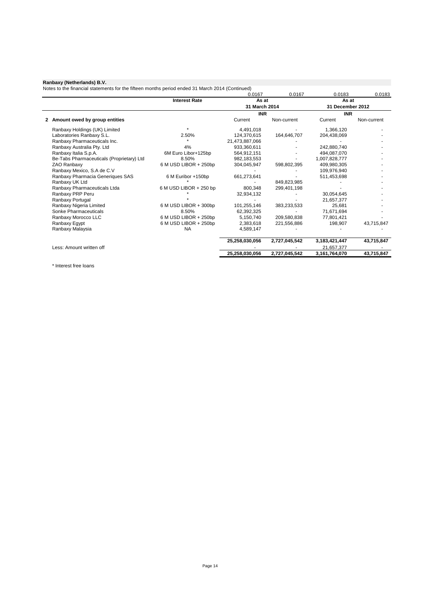Notes to the financial statements for the fifteen months period ended 31 March 2014 (Continued)

|                                           |                        | 0.0167         | 0.0167        | 0.0183           | 0.0183      |
|-------------------------------------------|------------------------|----------------|---------------|------------------|-------------|
|                                           | <b>Interest Rate</b>   | As at          |               | As at            |             |
|                                           |                        | 31 March 2014  |               | 31 December 2012 |             |
|                                           |                        | <b>INR</b>     |               | <b>INR</b>       |             |
| Amount owed by group entities<br>2        |                        | Current        | Non-current   | Current          | Non-current |
| Ranbaxy Holdings (UK) Limited             |                        | 4,491,018      |               | 1,366,120        |             |
| Laboratories Ranbaxy S.L.                 | 2.50%                  | 124.370.615    | 164,646,707   | 204,438,069      |             |
| Ranbaxy Pharmaceuticals Inc.              |                        | 21,473,887,066 |               |                  |             |
| Ranbaxy Australia Pty. Ltd                | 4%                     | 933,360,611    |               | 242,880,740      |             |
| Ranbaxy Italia S.p.A.                     | 6M Euro Libor+125bp    | 564,912,151    |               | 494.087.070      |             |
| Be-Tabs Pharmaceuticals (Proprietary) Ltd | 8.50%                  | 982,183,553    |               | 1,007,828,777    |             |
| ZAO Ranbaxy                               | 6 M USD LIBOR + 250bp  | 304,045,947    | 598,802,395   | 409,980,305      |             |
| Ranbaxy Mexico, S.A de C.V                |                        |                |               | 109,976,940      |             |
| Ranbaxy Pharmacia Generiques SAS          | 6 M Euribor +150bp     | 661,273,641    |               | 511,453,698      |             |
| Ranbaxy UK Ltd                            |                        |                | 849,823,985   |                  |             |
| Ranbaxy Pharmaceuticals Ltda              | 6 M USD LIBOR + 250 bp | 800,348        | 299,401,198   |                  |             |
| Ranbaxy PRP Peru                          |                        | 32,934,132     |               | 30.054.645       |             |
| Ranbaxy Portugal                          |                        |                |               | 21,657,377       |             |
| Ranbaxy Nigeria Limited                   | 6 M USD LIBOR + 300bp  | 101,255,146    | 383,233,533   | 25,681           |             |
| Sonke Pharmaceuticals                     | 8.50%                  | 62,392,325     |               | 71,671,694       |             |
| Ranbaxy Morocco LLC                       | 6 M USD LIBOR + 250bp  | 5,150,740      | 209,580,838   | 77,801,421       |             |
| Ranbaxy Egypt                             | 6 M USD LIBOR + 250bp  | 2,383,618      | 221,556,886   | 198,907          | 43,715,847  |
| Ranbaxy Malaysia                          | <b>NA</b>              | 4,589,147      |               |                  |             |
|                                           |                        | 25,258,030,056 | 2,727,045,542 | 3, 183, 421, 447 | 43,715,847  |
| Less: Amount written off                  |                        |                |               | 21,657,377       |             |
|                                           |                        | 25,258,030,056 | 2,727,045,542 | 3,161,764,070    | 43,715,847  |

\* Interest free loans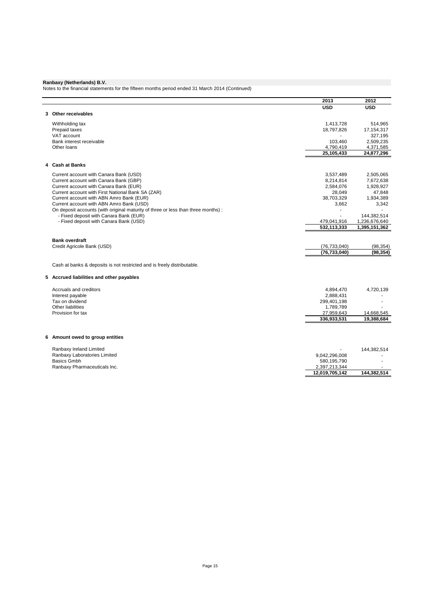Notes to the financial statements for the fifteen months period ended 31 March 2014 (Continued)

|                                                                                   | 2013                     | 2012          |
|-----------------------------------------------------------------------------------|--------------------------|---------------|
|                                                                                   | <b>USD</b>               | <b>USD</b>    |
| 3 Other receivables                                                               |                          |               |
| Withholding tax                                                                   | 1,413,728                | 514,965       |
| Prepaid taxes                                                                     | 18,797,826               | 17,154,317    |
| VAT account                                                                       |                          | 327,195       |
| Bank interest receivable                                                          | 103,460                  | 2,509,235     |
| Other loans                                                                       | 4,790,419                | 4,371,585     |
|                                                                                   | 25,105,433               | 24,877,296    |
| 4 Cash at Banks                                                                   |                          |               |
| Current account with Canara Bank (USD)                                            | 3,537,489                | 2,505,065     |
| Current account with Canara Bank (GBP)                                            | 8,214,814                | 7,672,638     |
| Current account with Canara Bank (EUR)                                            | 2,584,076                | 1,928,927     |
| Current account with First National Bank SA (ZAR)                                 | 28,049                   | 47,848        |
| Current account with ABN Amro Bank (EUR)                                          | 38,703,329               | 1,934,389     |
| Current account with ABN Amro Bank (USD)                                          | 3,662                    | 3,342         |
| On deposit accounts (with original maturity of three or less than three months) : |                          |               |
| - Fixed deposit with Canara Bank (EUR)                                            |                          | 144,382,514   |
| - Fixed deposit with Canara Bank (USD)                                            | 479,041,916              | 1,236,676,640 |
|                                                                                   | 532,113,333              | 1,395,151,362 |
| <b>Bank overdraft</b>                                                             |                          |               |
| Credit Agricole Bank (USD)                                                        | (76, 733, 040)           | (98, 354)     |
|                                                                                   | (76, 733, 040)           | (98, 354)     |
| Cash at banks & deposits is not restricted and is freely distributable.           |                          |               |
| 5 Accrued liabilities and other payables                                          |                          |               |
|                                                                                   |                          |               |
| Accruals and creditors                                                            | 4,894,470                | 4,720,139     |
| Interest payable<br>Tax on dividend                                               | 2,888,431<br>299,401,198 |               |
| Other liabilities                                                                 | 1,789,789                |               |
| Provision for tax                                                                 | 27,959,643               | 14,668,545    |
|                                                                                   | 336,933,531              | 19,388,684    |
|                                                                                   |                          |               |
| 6 Amount owed to group entities                                                   |                          |               |
| Ranbaxy Ireland Limited                                                           |                          | 144,382,514   |
| Ranbaxy Laboratories Limited                                                      | 9,042,296,008            |               |
| <b>Basics Gmbh</b>                                                                | 580,195,790              |               |
| Ranbaxy Pharmaceuticals Inc.                                                      | 2,397,213,344            |               |
|                                                                                   | 12,019,705,142           | 144,382,514   |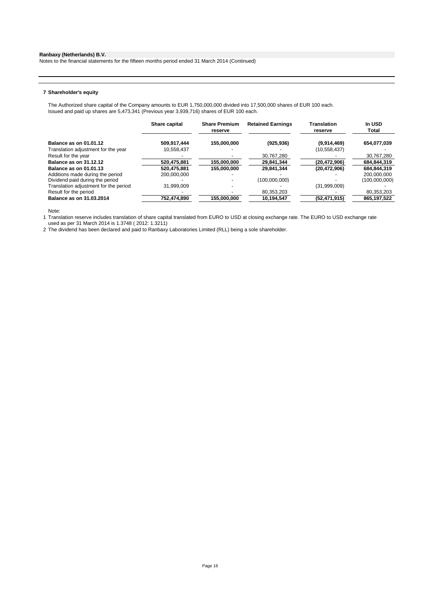Notes to the financial statements for the fifteen months period ended 31 March 2014 (Continued)

### **7 Shareholder's equity**

The Authorized share capital of the Company amounts to EUR 1,750,000,000 divided into 17,500,000 shares of EUR 100 each. Issued and paid up shares are 5,473,341 (Previous year 3,939,716) shares of EUR 100 each.

|                                       | Share capital | <b>Share Premium</b><br>reserve | <b>Retained Earnings</b> | <b>Translation</b><br>reserve | In USD<br>Total |
|---------------------------------------|---------------|---------------------------------|--------------------------|-------------------------------|-----------------|
| Balance as on 01.01.12                | 509,917,444   | 155,000,000                     | (925, 936)               | (9,914,469)                   | 654,077,039     |
| Translation adjustment for the year   | 10.558.437    |                                 |                          | (10, 558, 437)                |                 |
| Result for the year                   |               |                                 | 30,767,280               |                               | 30,767,280      |
| Balance as on 31.12.12                | 520,475,881   | 155,000,000                     | 29,841,344               | (20, 472, 906)                | 684,844,319     |
| Balance as on 01.01.13                | 520.475.881   | 155,000,000                     | 29.841.344               | (20, 472, 906)                | 684.844.319     |
| Additions made during the period      | 200.000.000   |                                 |                          |                               | 200.000.000     |
| Dividend paid during the period       |               |                                 | (100.000.000)            |                               | (100,000,000)   |
| Translation adjustment for the period | 31.999.009    |                                 |                          | (31,999,009)                  |                 |
| Result for the period                 |               |                                 | 80,353,203               |                               | 80,353,203      |
| Balance as on 31.03.2014              | 752,474,890   | 155,000,000                     | 10,194,547               | (52, 471, 915)                | 865,197,522     |

Note:

1 Translation reserve includes translation of share capital translated from EURO to USD at closing exchange rate. The EURO to USD exchange rate used as per 31 March 2014 is 1.3748 ( 2012: 1.3211)

2 The dividend has been declared and paid to Ranbaxy Laboratories Limited (RLL) being a sole shareholder.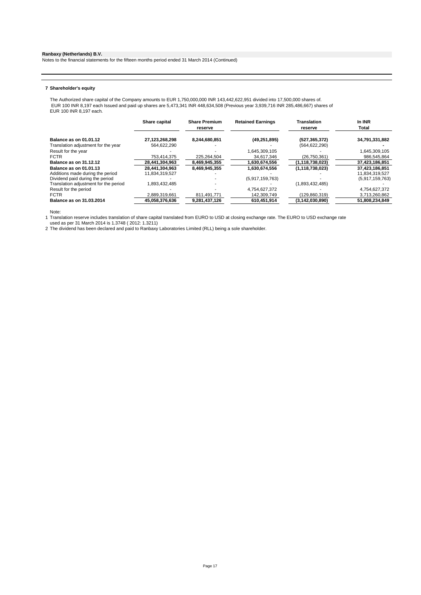Notes to the financial statements for the fifteen months period ended 31 March 2014 (Continued)

#### **7 Shareholder's equity**

The Authorized share capital of the Company amounts to EUR 1,750,000,000 INR 143,442,622,951 divided into 17,500,000 shares of. EUR 100 INR 8,197 each Issued and paid up shares are 5,473,341 INR 448,634,508 (Previous year 3,939,716 INR 285,486,667) shares of EUR 100 INR 8,197 each.

|                                       | Share capital  | <b>Share Premium</b><br>reserve | <b>Retained Earnings</b> | Translation<br>reserve | In INR<br>Total |
|---------------------------------------|----------------|---------------------------------|--------------------------|------------------------|-----------------|
| Balance as on 01.01.12                | 27,123,268,298 | 8,244,680,851                   | (49, 251, 895)           | (527, 365, 372)        | 34,791,331,882  |
| Translation adjustment for the year   | 564.622.290    |                                 |                          | (564, 622, 290)        |                 |
| Result for the year                   |                |                                 | 1.645.309.105            |                        | 1.645.309.105   |
| <b>FCTR</b>                           | 753,414,375    | 225.264.504                     | 34,617,346               | (26,750,361)           | 986,545,864     |
| Balance as on 31.12.12                | 28,441,304,963 | 8.469.945.355                   | 1.630.674.556            | (1,118,738,023)        | 37,423,186,851  |
| Balance as on 01.01.13                | 28.441.304.963 | 8.469.945.355                   | 1.630.674.556            | (1, 118, 738, 023)     | 37.423.186.851  |
| Additions made during the period      | 11,834,319,527 |                                 |                          |                        | 11,834,319,527  |
| Dividend paid during the period       |                |                                 | (5,917,159,763)          |                        | (5,917,159,763) |
| Translation adjustment for the period | 1,893,432,485  |                                 |                          | (1,893,432,485)        |                 |
| Result for the period                 |                |                                 | 4.754.627.372            |                        | 4.754.627.372   |
| <b>FCTR</b>                           | 2.889.319.661  | 811.491.771                     | 142.309.749              | (129.860.319)          | 3.713.260.862   |
| Balance as on 31.03.2014              | 45,058,376,636 | 9,281,437,126                   | 610,451,914              | (3, 142, 030, 890)     | 51,808,234,849  |

Note:

1 Translation reserve includes translation of share capital translated from EURO to USD at closing exchange rate. The EURO to USD exchange rate<br>used as per 31 March 2014 is 1.3748 ( 2012: 1.3211)<br>2 The dividend has been de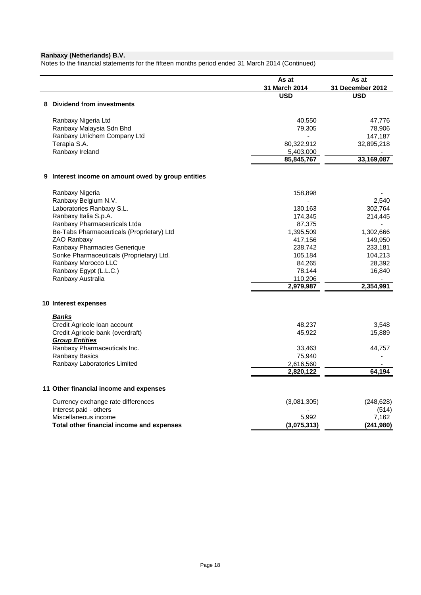Notes to the financial statements for the fifteen months period ended 31 March 2014 (Continued)

|                                                    | As at         | As at            |
|----------------------------------------------------|---------------|------------------|
|                                                    | 31 March 2014 | 31 December 2012 |
|                                                    | <b>USD</b>    | <b>USD</b>       |
| 8 Dividend from investments                        |               |                  |
| Ranbaxy Nigeria Ltd                                | 40,550        | 47,776           |
| Ranbaxy Malaysia Sdn Bhd                           | 79,305        | 78,906           |
| Ranbaxy Unichem Company Ltd                        |               | 147,187          |
| Terapia S.A.                                       | 80,322,912    | 32,895,218       |
| Ranbaxy Ireland                                    | 5,403,000     |                  |
|                                                    | 85,845,767    | 33,169,087       |
|                                                    |               |                  |
| 9 Interest income on amount owed by group entities |               |                  |
| Ranbaxy Nigeria                                    | 158,898       |                  |
| Ranbaxy Belgium N.V.                               |               | 2,540            |
| Laboratories Ranbaxy S.L.                          | 130,163       | 302,764          |
| Ranbaxy Italia S.p.A.                              | 174,345       | 214,445          |
| Ranbaxy Pharmaceuticals Ltda                       | 87,375        |                  |
| Be-Tabs Pharmaceuticals (Proprietary) Ltd          | 1,395,509     | 1,302,666        |
| ZAO Ranbaxy                                        | 417,156       | 149,950          |
| Ranbaxy Pharmacies Generique                       | 238,742       | 233,181          |
| Sonke Pharmaceuticals (Proprietary) Ltd.           | 105,184       | 104,213          |
| Ranbaxy Morocco LLC                                | 84,265        | 28,392           |
| Ranbaxy Egypt (L.L.C.)                             | 78,144        | 16,840           |
| Ranbaxy Australia                                  | 110,206       |                  |
|                                                    | 2,979,987     | 2,354,991        |
| 10 Interest expenses                               |               |                  |
|                                                    |               |                  |
| Banks<br>Credit Agricole Ioan account              | 48,237        | 3,548            |
| Credit Agricole bank (overdraft)                   | 45,922        | 15,889           |
| <b>Group Entities</b>                              |               |                  |
| Ranbaxy Pharmaceuticals Inc.                       | 33,463        | 44,757           |
| Ranbaxy Basics                                     | 75,940        |                  |
| Ranbaxy Laboratories Limited                       | 2,616,560     |                  |
|                                                    | 2,820,122     | 64,194           |
|                                                    |               |                  |
| 11 Other financial income and expenses             |               |                  |
| Currency exchange rate differences                 | (3,081,305)   | (248, 628)       |
| Interest paid - others                             |               | (514)            |
| Miscellaneous income                               | 5,992         | 7,162            |
| Total other financial income and expenses          | (3,075,313)   | (241, 980)       |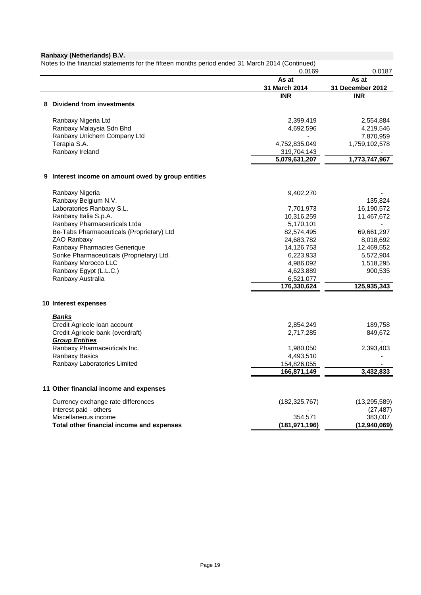|                                                       | 0.0169                   | 0.0187                    |
|-------------------------------------------------------|--------------------------|---------------------------|
|                                                       | As at<br>31 March 2014   | As at<br>31 December 2012 |
|                                                       | <b>INR</b>               | <b>INR</b>                |
| <b>Dividend from investments</b><br>8                 |                          |                           |
| Ranbaxy Nigeria Ltd                                   | 2,399,419                | 2,554,884                 |
| Ranbaxy Malaysia Sdn Bhd                              | 4,692,596                | 4,219,546                 |
| Ranbaxy Unichem Company Ltd                           |                          | 7,870,959                 |
| Terapia S.A.                                          | 4,752,835,049            | 1,759,102,578             |
| Ranbaxy Ireland                                       | 319,704,143              |                           |
|                                                       | 5,079,631,207            | 1,773,747,967             |
| Interest income on amount owed by group entities<br>9 |                          |                           |
| Ranbaxy Nigeria                                       | 9,402,270                |                           |
| Ranbaxy Belgium N.V.                                  |                          | 135,824                   |
| Laboratories Ranbaxy S.L.                             | 7,701,973                | 16,190,572                |
| Ranbaxy Italia S.p.A.                                 | 10,316,259               | 11,467,672                |
| Ranbaxy Pharmaceuticals Ltda                          | 5,170,101                |                           |
| Be-Tabs Pharmaceuticals (Proprietary) Ltd             | 82,574,495               | 69,661,297                |
| ZAO Ranbaxy                                           | 24,683,782               | 8,018,692                 |
| Ranbaxy Pharmacies Generique                          | 14,126,753               | 12,469,552                |
| Sonke Pharmaceuticals (Proprietary) Ltd.              | 6,223,933                | 5,572,904                 |
| Ranbaxy Morocco LLC                                   | 4,986,092                | 1,518,295                 |
| Ranbaxy Egypt (L.L.C.)                                | 4,623,889                | 900,535                   |
| Ranbaxy Australia                                     | 6,521,077<br>176,330,624 | 125,935,343               |
|                                                       |                          |                           |
| 10 Interest expenses                                  |                          |                           |
| <b>Banks</b><br>Credit Agricole Ioan account          | 2,854,249                | 189,758                   |
| Credit Agricole bank (overdraft)                      | 2,717,285                | 849,672                   |
| <b>Group Entities</b>                                 |                          |                           |
| Ranbaxy Pharmaceuticals Inc.                          | 1,980,050                | 2,393,403                 |
| Ranbaxy Basics                                        | 4,493,510                |                           |
| Ranbaxy Laboratories Limited                          | 154,826,055              |                           |
|                                                       | 166,871,149              | 3,432,833                 |
| 11 Other financial income and expenses                |                          |                           |
| Currency exchange rate differences                    | (182, 325, 767)          | (13, 295, 589)            |
| Interest paid - others                                |                          | (27, 487)                 |
| Miscellaneous income                                  | 354,571                  | 383,007                   |
| Total other financial income and expenses             | (181, 971, 196)          | (12, 940, 069)            |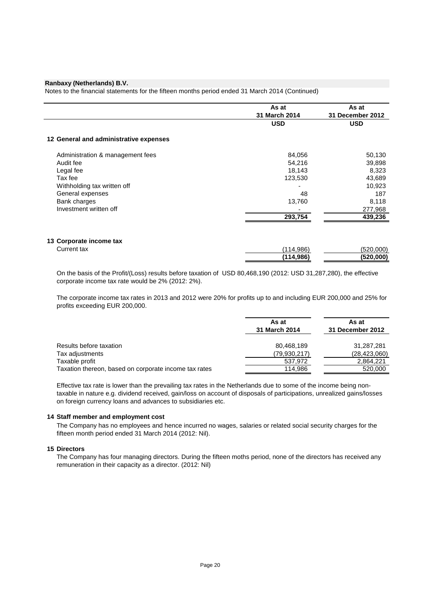Notes to the financial statements for the fifteen months period ended 31 March 2014 (Continued)

|                                        | As at         | As at            |
|----------------------------------------|---------------|------------------|
|                                        | 31 March 2014 | 31 December 2012 |
|                                        | <b>USD</b>    | <b>USD</b>       |
| 12 General and administrative expenses |               |                  |
| Administration & management fees       | 84,056        | 50,130           |
| Audit fee                              | 54,216        | 39,898           |
| Legal fee                              | 18,143        | 8,323            |
| Tax fee                                | 123,530       | 43,689           |
| Withholding tax written off            |               | 10,923           |
| General expenses                       | 48            | 187              |
| Bank charges                           | 13,760        | 8,118            |
| Investment written off                 |               | 277,968          |
|                                        | 293,754       | 439,236          |
| 13 Corporate income tax                |               |                  |
| Current tax                            | (114, 986)    | (520,000)        |
|                                        | (114,986)     | (520,000)        |

On the basis of the Profit/(Loss) results before taxation of USD 80,468,190 (2012: USD 31,287,280), the effective corporate income tax rate would be 2% (2012: 2%).

The corporate income tax rates in 2013 and 2012 were 20% for profits up to and including EUR 200,000 and 25% for profits exceeding EUR 200,000.

|                                                       | As at<br>31 March 2014 | As at<br>31 December 2012 |
|-------------------------------------------------------|------------------------|---------------------------|
| Results before taxation                               | 80,468,189             | 31,287,281                |
| Tax adjustments                                       | (79, 930, 217)         | (28,423,060)              |
| Taxable profit                                        | 537,972                | 2,864,221                 |
| Taxation thereon, based on corporate income tax rates | 114.986                | 520,000                   |

Effective tax rate is lower than the prevailing tax rates in the Netherlands due to some of the income being nontaxable in nature e.g. dividend received, gain/loss on account of disposals of participations, unrealized gains/losses on foreign currency loans and advances to subsidiaries etc.

#### **14 Staff member and employment cost**

The Company has no employees and hence incurred no wages, salaries or related social security charges for the fifteen month period ended 31 March 2014 (2012: Nil).

### **15 Directors**

The Company has four managing directors. During the fifteen moths period, none of the directors has received any remuneration in their capacity as a director. (2012: Nil)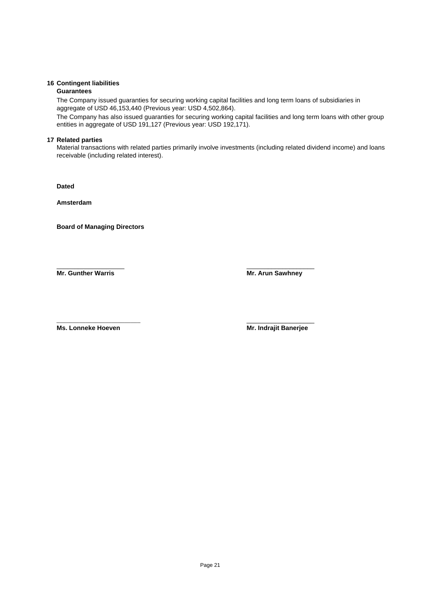### **16 Contingent liabilities**

### **Guarantees**

The Company issued guaranties for securing working capital facilities and long term loans of subsidiaries in aggregate of USD 46,153,440 (Previous year: USD 4,502,864).

The Company has also issued guaranties for securing working capital facilities and long term loans with other group entities in aggregate of USD 191,127 (Previous year: USD 192,171).

### **17 Related parties**

Material transactions with related parties primarily involve investments (including related dividend income) and loans receivable (including related interest).

**Dated** 

**Amsterdam**

**Board of Managing Directors** 

**Mr. Gunther Warris Mr. Arun Sawhney**

 $\overline{\phantom{a}}$  , and the contract of the contract of the contract of the contract of the contract of the contract of the contract of the contract of the contract of the contract of the contract of the contract of the contrac

**Ms. Lonneke Hoeven Mr. Indrajit Banerjee**

\_\_\_\_\_\_\_\_\_\_\_\_\_\_\_\_\_\_\_\_\_\_\_\_\_\_ \_\_\_\_\_\_\_\_\_\_\_\_\_\_\_\_\_\_\_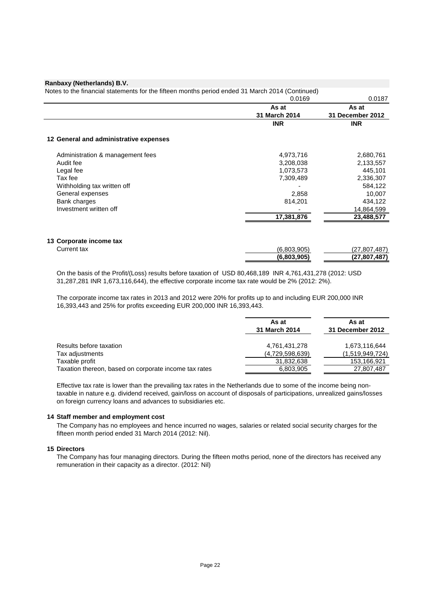Notes to the financial statements for the fifteen months period ended 31 March 2014 (Continued) 0.0169 0.0187 **As at 31 March 2014 As at 31 December 2012 INR INR 12 General and administrative expenses** Administration & management fees 2,680,761 2,680,761 Audit fee 3,208,038 2,133,557 Legal fee 1,073,573 445,101 Tax fee 7,309,489 2,336,307 Withholding tax written off  $584,122$ General expenses 10,007 Bank charges **814,201** 434,122<br>
Investment written off **14,864,599** Investment written off - 14,864,599  **17,381,876 23,488,577 13 Corporate income tax** Current tax (6,803,905) (27,807,487)

On the basis of the Profit/(Loss) results before taxation of USD 80,468,189 INR 4,761,431,278 (2012: USD 31,287,281 INR 1,673,116,644), the effective corporate income tax rate would be 2% (2012: 2%).

 **(6,803,905) (27,807,487)**

The corporate income tax rates in 2013 and 2012 were 20% for profits up to and including EUR 200,000 INR 16,393,443 and 25% for profits exceeding EUR 200,000 INR 16,393,443.

|                                                       | As at<br>31 March 2014 | As at<br>31 December 2012 |
|-------------------------------------------------------|------------------------|---------------------------|
| Results before taxation                               | 4,761,431,278          | 1,673,116,644             |
| Tax adjustments                                       | (4,729,598,639)        | (1,519,949,724)           |
| Taxable profit                                        | 31,832,638             | 153,166,921               |
| Taxation thereon, based on corporate income tax rates | 6,803,905              | 27,807,487                |

Effective tax rate is lower than the prevailing tax rates in the Netherlands due to some of the income being nontaxable in nature e.g. dividend received, gain/loss on account of disposals of participations, unrealized gains/losses on foreign currency loans and advances to subsidiaries etc.

#### **14 Staff member and employment cost**

The Company has no employees and hence incurred no wages, salaries or related social security charges for the fifteen month period ended 31 March 2014 (2012: Nil).

### **15 Directors**

The Company has four managing directors. During the fifteen moths period, none of the directors has received any remuneration in their capacity as a director. (2012: Nil)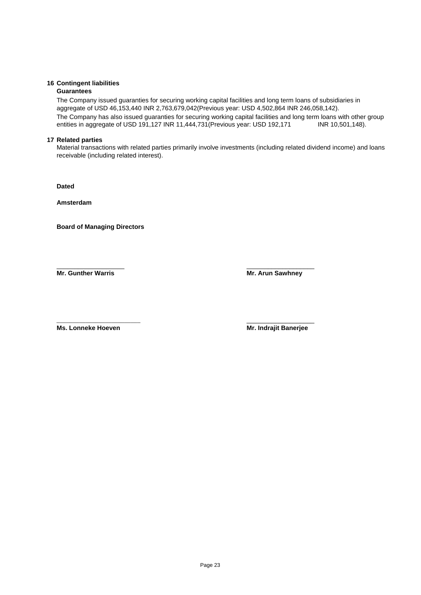### **16 Contingent liabilities**

### **Guarantees**

The Company issued guaranties for securing working capital facilities and long term loans of subsidiaries in aggregate of USD 46,153,440 INR 2,763,679,042(Previous year: USD 4,502,864 INR 246,058,142).

The Company has also issued guaranties for securing working capital facilities and long term loans with other group entities in aggregate of USD 191,127 INR 11,444,731 (Previous year: USD 192,171 INR 10,501,148).

### **17 Related parties**

Material transactions with related parties primarily involve investments (including related dividend income) and loans receivable (including related interest).

**Dated** 

**Amsterdam**

**Board of Managing Directors** 

**Mr. Gunther Warris Mr. Arun Sawhney**

 $\overline{\phantom{a}}$  , and the contract of the contract of the contract of the contract of the contract of the contract of the contract of the contract of the contract of the contract of the contract of the contract of the contrac

\_\_\_\_\_\_\_\_\_\_\_\_\_\_\_\_\_\_\_\_\_\_\_\_\_\_ \_\_\_\_\_\_\_\_\_\_\_\_\_\_\_\_\_\_\_ **Ms. Lonneke Hoeven Mr. Indrajit Banerjee**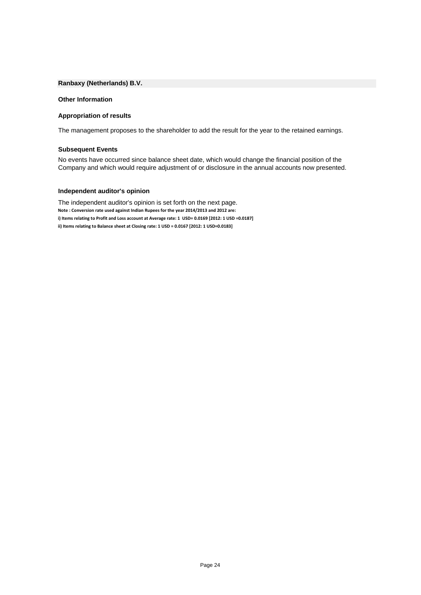#### **Other Information**

### **Appropriation of results**

The management proposes to the shareholder to add the result for the year to the retained earnings.

### **Subsequent Events**

No events have occurred since balance sheet date, which would change the financial position of the Company and which would require adjustment of or disclosure in the annual accounts now presented.

### **Independent auditor's opinion**

The independent auditor's opinion is set forth on the next page. **Note : Conversion rate used against Indian Rupees for the year 2014/2013 and 2012 are: i) Items relating to Profit and Loss account at Average rate: 1 USD= 0.0169 [2012: 1 USD =0.0187] ii) Items relating to Balance sheet at Closing rate: 1 USD = 0.0167 [2012: 1 USD=0.0183]**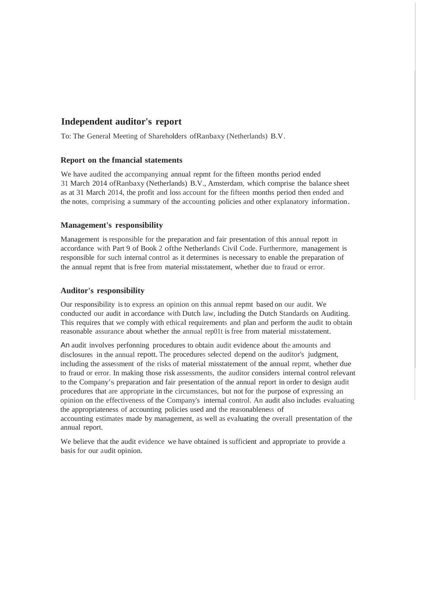# **Independent auditor's report**

To: The General Meeting of Shareholders ofRanbaxy (Netherlands) B.V.

### **Report on the fmancial statements**

We have audited the accompanying annual repmt for the fifteen months period ended 31 March 2014 ofRanbaxy (Netherlands) B.V., Amsterdam, which comprise the balance sheet as at 31 March 2014, the profit and loss account for the fifteen months period then ended and the notes, comprising <sup>a</sup> summary of the accounting policies and other explanatory information.

### **Management's responsibility**

Management is responsible for the preparation and fair presentation of this annual repott in accordance with Part 9 of Book 2 ofthe Netherlands Civil Code. Furthermore, management is responsible for such internal control as it determines is necessary to enable the preparation of the annual repmt that isfree from material misstatement, whether due to fraud or error.

### **Auditor's responsibility**

Our responsibility isto express an opinion on this annual repmt based on our audit. We conducted our audit in accordance with Dutch law, including the Dutch Standards on Auditing. This requires that we comply with ethical requirements and plan and perform the audit to obtain reasonable assurance about whether the annual rep01t is free from material misstatement.

An audit involves perfonning procedures to obtain audit evidence about the amounts and disclosures in the annual repott.The procedures selected depend on the auditor's judgment, including the assessment of the risks of material misstatement of the annual repmt, whether due to fraud or error. In making those risk assessments, the auditor considers internal control relevant to the Company's preparation and fair presentation of the annual report in order to design audit procedures that are appropriate in the circumstances, but not for the purpose of expressing an opinion on the effectiveness of the Company's internal control. An audit also includes evaluating the appropriateness of accounting policies used and the reasonableness of accounting estimates made by management, as well as evaluating the overall presentation of the annual report.

We believe that the audit evidence we have obtained is sufficient and appropriate to provide a basis for our audit opinion.